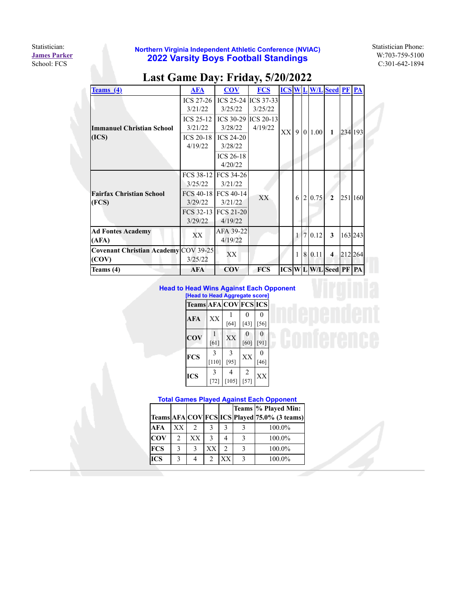Statistician: **[James Parker](mailto:parker@studyfcs.com)** School: FCS

|                                             |                  | ๋                       | ັ          |               |   |   |          |                            |         |         |
|---------------------------------------------|------------------|-------------------------|------------|---------------|---|---|----------|----------------------------|---------|---------|
| Teams(4)                                    | <b>AFA</b>       | $\overline{\text{cov}}$ | <b>FCS</b> | <b>ICS WL</b> |   |   |          | <b>W/L</b> Seed PF PA      |         |         |
|                                             | ICS $27-26$      | ICS 25-24 ICS 37-33     |            |               |   |   |          |                            |         |         |
|                                             | 3/21/22          | 3/25/22                 | 3/25/22    |               |   |   |          |                            |         |         |
|                                             | <b>ICS 25-12</b> | ICS 30-29 ICS 20-13     |            |               |   |   |          |                            |         |         |
| Immanuel Christian School                   | 3/21/22          | 3/28/22                 | 4/19/22    | XX            |   |   | 9 0 1.00 | 1                          |         |         |
| (ICS)                                       | ICS $20-18$      | <b>ICS 24-20</b>        |            |               |   |   |          |                            |         | 234 193 |
|                                             | 4/19/22          | 3/28/22                 |            |               |   |   |          |                            |         |         |
|                                             |                  | <b>ICS 26-18</b>        |            |               |   |   |          |                            |         |         |
|                                             |                  | 4/20/22                 |            |               |   |   |          |                            |         |         |
|                                             |                  | FCS 38-12 FCS 34-26     |            |               |   |   |          |                            |         |         |
| <b>Fairfax Christian School</b>             | 3/25/22          | 3/21/22                 |            |               |   |   |          |                            |         |         |
|                                             |                  | FCS 40-18 FCS 40-14     | XX         |               | 6 | 2 | 0.75     | $\overline{2}$             | 251 160 |         |
| (FCS)                                       | 3/29/22          | 3/21/22                 |            |               |   |   |          |                            |         |         |
|                                             |                  | FCS 32-13 FCS 21-20     |            |               |   |   |          |                            |         |         |
|                                             | 3/29/22          | 4/19/22                 |            |               |   |   |          |                            |         |         |
| <b>Ad Fontes Academy</b>                    | XX               | AFA 39-22               |            |               | 1 |   | 7 0.12   | 3                          | 163 243 |         |
| (AFA)                                       |                  | 4/19/22                 |            |               |   |   |          |                            |         |         |
| <b>Covenant Christian Academy COV 39-25</b> |                  | XX                      |            |               | 1 | 8 | 0.11     | $\overline{\bf{4}}$        | 212 264 |         |
| (COV)                                       | 3/25/22          |                         |            |               |   |   |          |                            |         |         |
| Teams (4)                                   | <b>AFA</b>       | <b>COV</b>              | <b>FCS</b> |               |   |   |          | <b>ICS WLW/LSeed PF PA</b> |         |         |

## **Last Game Day: Friday, 5/20/2022**

## **Head to Head Wins Against Each Opponent**

|  |  | [Head to Head Aggregate score] |  |
|--|--|--------------------------------|--|
|--|--|--------------------------------|--|

| <b>Teams AFA COV FCS ICS</b> |                          |                         |                          |                    |
|------------------------------|--------------------------|-------------------------|--------------------------|--------------------|
| AFA                          | XX                       | $[64]$                  | 0<br>$[43]$              | $\Omega$<br>$[56]$ |
| <b>COV</b>                   | [61]                     | XX                      | 0<br>[60]                | 0<br>[91]          |
| <b>FCS</b>                   | $\mathcal{R}$<br>$[110]$ | $\mathcal{R}$<br>$[95]$ | XX                       | 0<br>$[46]$        |
| ICS                          | $\mathcal{R}$<br>$[72]$  | $[105]$                 | $\overline{2}$<br>$[57]$ | XX                 |

**Total Games Played Against Each Opponent**

|            |    |    |               |               | Teams % Played Min:                          |
|------------|----|----|---------------|---------------|----------------------------------------------|
|            |    |    |               |               | Teams AFA COV FCS ICS Played 75.0% (3 teams) |
| <b>AFA</b> | xх |    |               |               | 100.0%                                       |
| <b>COV</b> |    | ХX | $\mathbf{3}$  |               | 100.0%                                       |
| <b>FCS</b> |    | 3  | XX            | $\mathcal{D}$ | 100.0%                                       |
| <b>ICS</b> |    |    | $\mathcal{D}$ | <b>XX</b>     | 100.0%                                       |
|            |    |    |               |               |                                              |